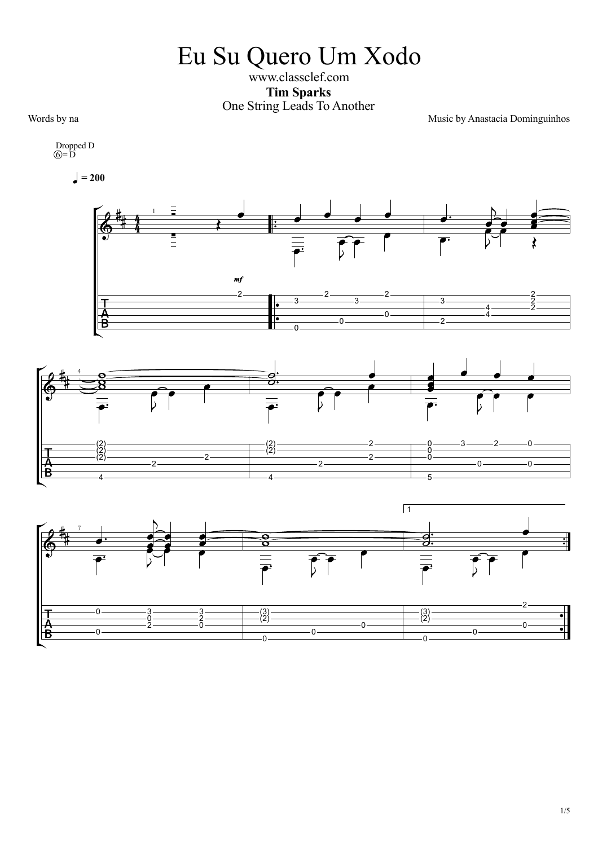Eu Su Quero Um Xodo

www.classclef.com **Tim Sparks** One String Leads To Another

Words by na Music by Anastacia Dominguinhos





**= 200**





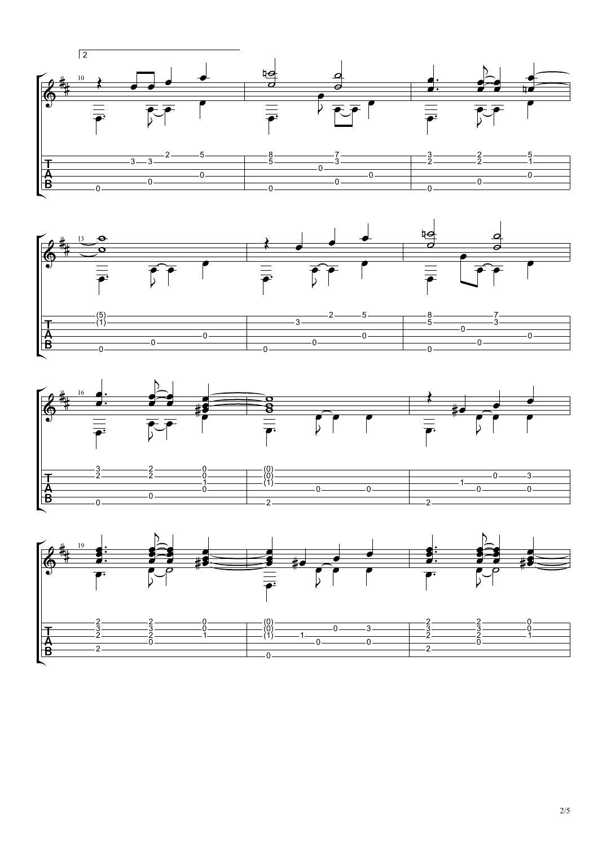





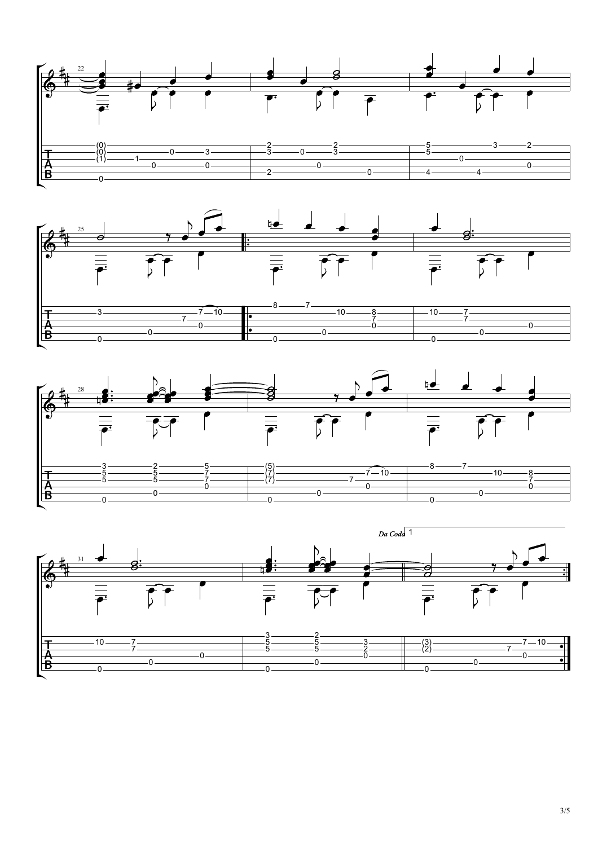





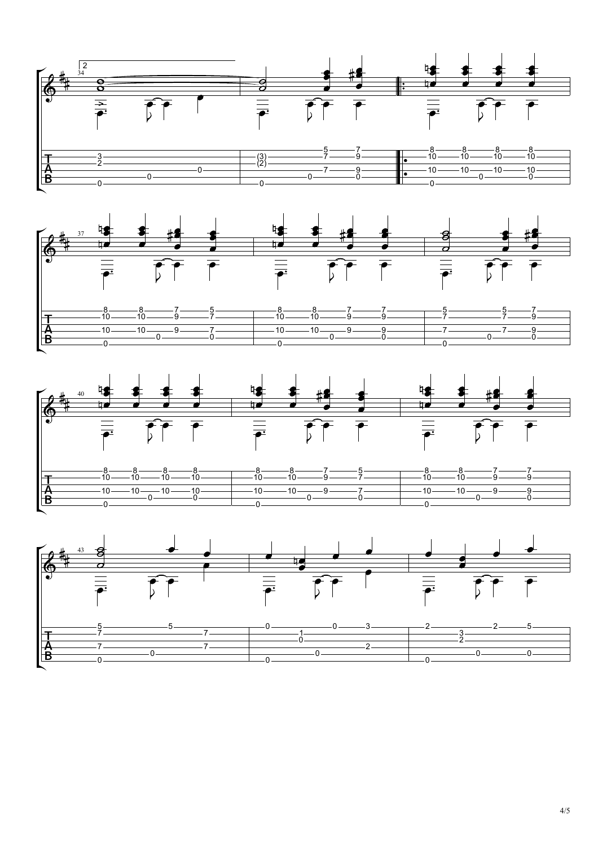